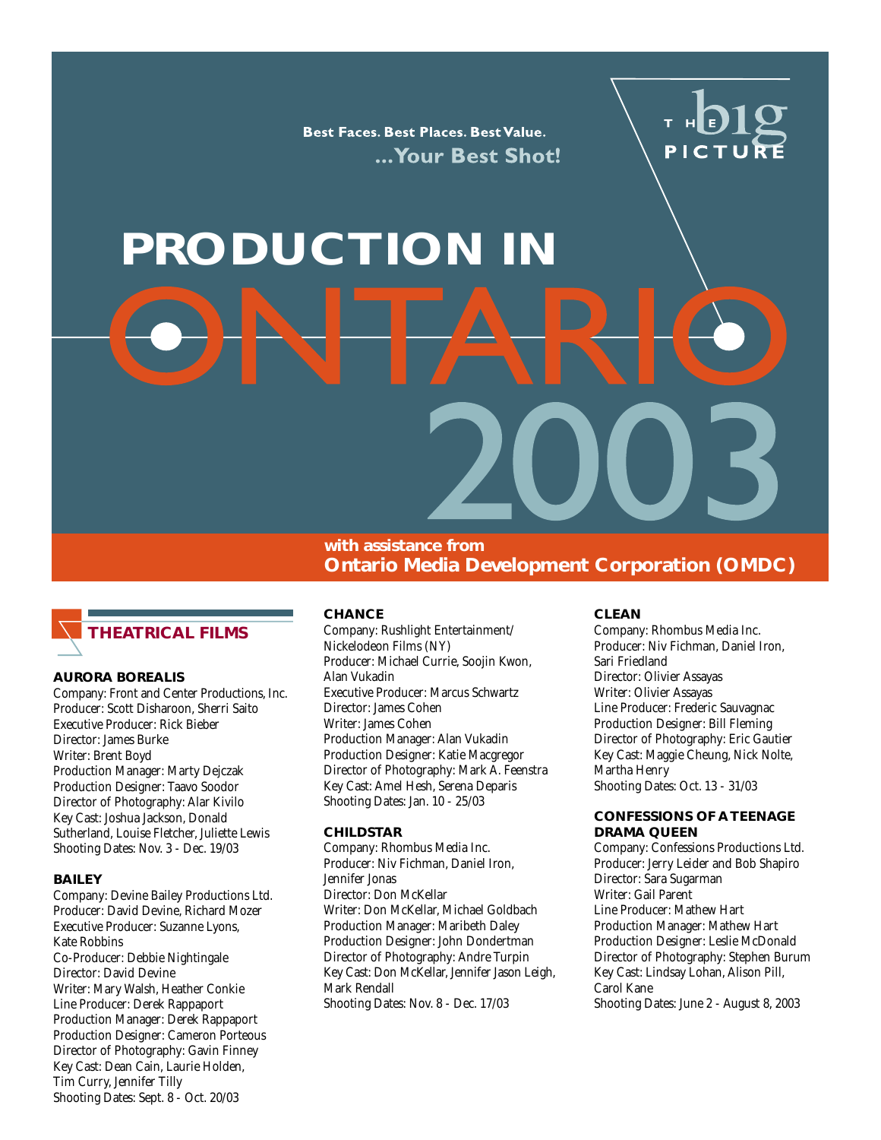Best Faces. Best Places. Best Value. ... Your Best Shot!

# PICTU

# **PRODUCTION IN**

**with assistance from Ontario Media Development Corporation (OMDC)**



#### **AURORA BOREALIS**

Company: Front and Center Productions, Inc. Producer: Scott Disharoon, Sherri Saito Executive Producer: Rick Bieber Director: James Burke Writer: Brent Boyd Production Manager: Marty Dejczak Production Designer: Taavo Soodor Director of Photography: Alar Kivilo Key Cast: Joshua Jackson, Donald Sutherland, Louise Fletcher, Juliette Lewis Shooting Dates: Nov. 3 - Dec. 19/03

#### **BAILEY**

Company: Devine Bailey Productions Ltd. Producer: David Devine, Richard Mozer Executive Producer: Suzanne Lyons, Kate Robbins Co-Producer: Debbie Nightingale Director: David Devine Writer: Mary Walsh, Heather Conkie Line Producer: Derek Rappaport Production Manager: Derek Rappaport Production Designer: Cameron Porteous Director of Photography: Gavin Finney Key Cast: Dean Cain, Laurie Holden, Tim Curry, Jennifer Tilly Shooting Dates: Sept. 8 - Oct. 20/03

#### **CHANCE**

Company: Rushlight Entertainment/ Nickelodeon Films (NY) Producer: Michael Currie, Soojin Kwon, Alan Vukadin Executive Producer: Marcus Schwartz Director: James Cohen Writer: James Cohen Production Manager: Alan Vukadin Production Designer: Katie Macgregor Director of Photography: Mark A. Feenstra Key Cast: Amel Hesh, Serena Deparis Shooting Dates: Jan. 10 - 25/03

#### **CHILDSTAR**

Company: Rhombus Media Inc. Producer: Niv Fichman, Daniel Iron, Jennifer Jonas Director: Don McKellar Writer: Don McKellar, Michael Goldbach Production Manager: Maribeth Daley Production Designer: John Dondertman Director of Photography: Andre Turpin Key Cast: Don McKellar, Jennifer Jason Leigh, Mark Rendall Shooting Dates: Nov. 8 - Dec. 17/03

#### **CLEAN**

Company: Rhombus Media Inc. Producer: Niv Fichman, Daniel Iron, Sari Friedland Director: Olivier Assayas Writer: Olivier Assayas Line Producer: Frederic Sauvagnac Production Designer: Bill Fleming Director of Photography: Eric Gautier Key Cast: Maggie Cheung, Nick Nolte, Martha Henry Shooting Dates: Oct. 13 - 31/03

#### **CONFESSIONS OF A TEENAGE DRAMA QUEEN**

Company: Confessions Productions Ltd. Producer: Jerry Leider and Bob Shapiro Director: Sara Sugarman Writer: Gail Parent Line Producer: Mathew Hart Production Manager: Mathew Hart Production Designer: Leslie McDonald Director of Photography: Stephen Burum Key Cast: Lindsay Lohan, Alison Pill, Carol Kane Shooting Dates: June 2 - August 8, 2003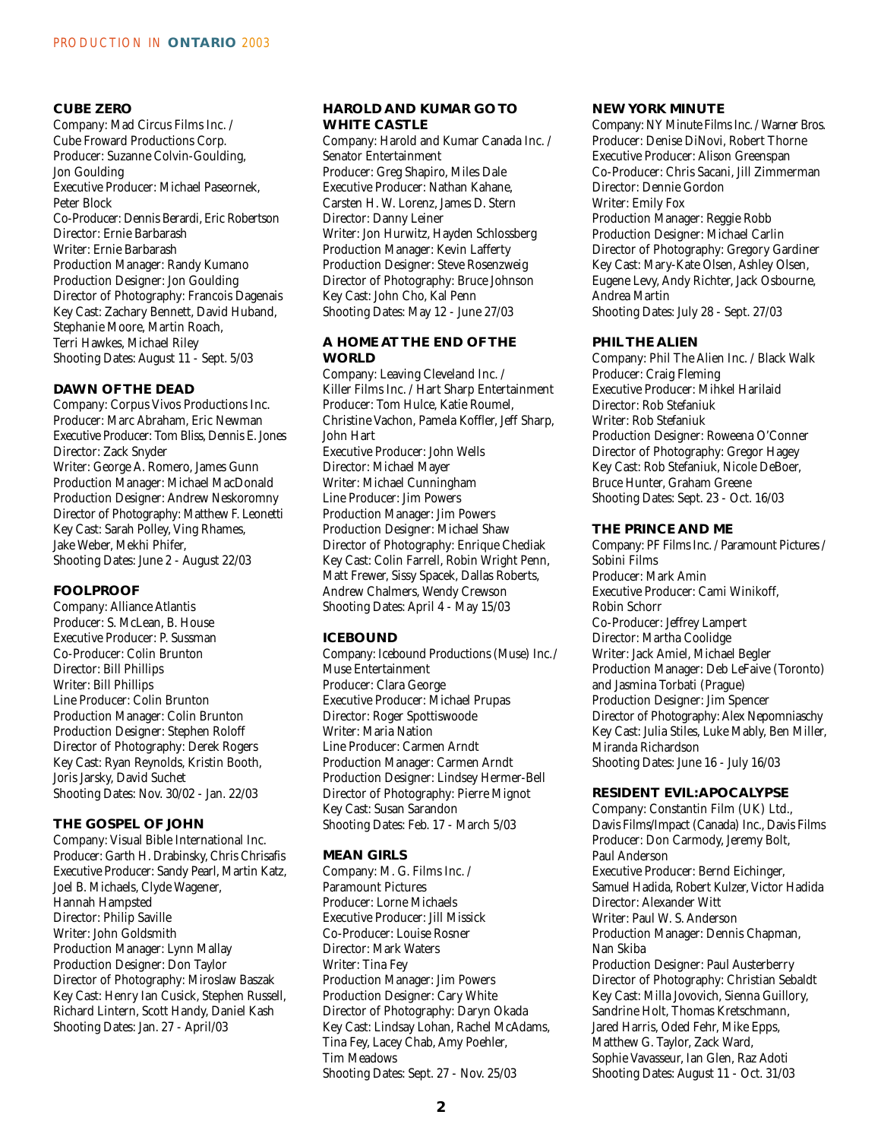#### **CUBE ZERO**

Company: Mad Circus Films Inc. / Cube Froward Productions Corp. Producer: Suzanne Colvin-Goulding, Jon Goulding Executive Producer: Michael Paseornek, Peter Block Co-Producer: Dennis Berardi, Eric Robertson Director: Ernie Barbarash Writer: Ernie Barbarash Production Manager: Randy Kumano Production Designer: Jon Goulding Director of Photography: Francois Dagenais Key Cast: Zachary Bennett, David Huband, Stephanie Moore, Martin Roach, Terri Hawkes, Michael Riley Shooting Dates: August 11 - Sept. 5/03

#### **DAWN OF THE DEAD**

Company: Corpus Vivos Productions Inc. Producer: Marc Abraham, Eric Newman Executive Producer: Tom Bliss, Dennis E. Jones Director: Zack Snyder Writer: George A. Romero, James Gunn Production Manager: Michael MacDonald Production Designer: Andrew Neskoromny Director of Photography: Matthew F. Leonetti Key Cast: Sarah Polley, Ving Rhames, Jake Weber, Mekhi Phifer, Shooting Dates: June 2 - August 22/03

#### **FOOLPROOF**

Company: Alliance Atlantis Producer: S. McLean, B. House Executive Producer: P. Sussman Co-Producer: Colin Brunton Director: Bill Phillips Writer: Bill Phillips Line Producer: Colin Brunton Production Manager: Colin Brunton Production Designer: Stephen Roloff Director of Photography: Derek Rogers Key Cast: Ryan Reynolds, Kristin Booth, Joris Jarsky, David Suchet Shooting Dates: Nov. 30/02 - Jan. 22/03

#### **THE GOSPEL OF JOHN**

Company: Visual Bible International Inc. Producer: Garth H. Drabinsky, Chris Chrisafis Executive Producer: Sandy Pearl, Martin Katz, Joel B. Michaels, Clyde Wagener, Hannah Hampsted Director: Philip Saville Writer: John Goldsmith Production Manager: Lynn Mallay Production Designer: Don Taylor Director of Photography: Miroslaw Baszak Key Cast: Henry Ian Cusick, Stephen Russell, Richard Lintern, Scott Handy, Daniel Kash Shooting Dates: Jan. 27 - April/03

#### **HAROLD AND KUMAR GO TO WHITE CASTLE**

Company: Harold and Kumar Canada Inc. / Senator Entertainment Producer: Greg Shapiro, Miles Dale Executive Producer: Nathan Kahane, Carsten H. W. Lorenz, James D. Stern Director: Danny Leiner Writer: Jon Hurwitz, Hayden Schlossberg Production Manager: Kevin Lafferty Production Designer: Steve Rosenzweig Director of Photography: Bruce Johnson Key Cast: John Cho, Kal Penn Shooting Dates: May 12 - June 27/03

#### **A HOME AT THE END OF THE WORLD**

Company: Leaving Cleveland Inc. / Killer Films Inc. / Hart Sharp Entertainment Producer: Tom Hulce, Katie Roumel, Christine Vachon, Pamela Koffler, Jeff Sharp, John Hart Executive Producer: John Wells Director: Michael Mayer Writer: Michael Cunningham Line Producer: Jim Powers Production Manager: Jim Powers Production Designer: Michael Shaw Director of Photography: Enrique Chediak Key Cast: Colin Farrell, Robin Wright Penn, Matt Frewer, Sissy Spacek, Dallas Roberts, Andrew Chalmers, Wendy Crewson Shooting Dates: April 4 - May 15/03

#### **ICEBOUND**

Company: Icebound Productions (Muse) Inc./ Muse Entertainment Producer: Clara George Executive Producer: Michael Prupas Director: Roger Spottiswoode Writer: Maria Nation Line Producer: Carmen Arndt Production Manager: Carmen Arndt Production Designer: Lindsey Hermer-Bell Director of Photography: Pierre Mignot Key Cast: Susan Sarandon Shooting Dates: Feb. 17 - March 5/03

#### **MEAN GIRLS**

Company: M. G. Films Inc. / Paramount Pictures Producer: Lorne Michaels Executive Producer: Jill Missick Co-Producer: Louise Rosner Director: Mark Waters Writer: Tina Fey Production Manager: Jim Powers Production Designer: Cary White Director of Photography: Daryn Okada Key Cast: Lindsay Lohan, Rachel McAdams, Tina Fey, Lacey Chab, Amy Poehler, Tim Meadows Shooting Dates: Sept. 27 - Nov. 25/03

#### **NEW YORK MINUTE**

Company: NY Minute Films Inc. / Warner Bros. Producer: Denise DiNovi, Robert Thorne Executive Producer: Alison Greenspan Co-Producer: Chris Sacani, Jill Zimmerman Director: Dennie Gordon Writer: Emily Fox Production Manager: Reggie Robb Production Designer: Michael Carlin Director of Photography: Gregory Gardiner Key Cast: Mary-Kate Olsen, Ashley Olsen, Eugene Levy, Andy Richter, Jack Osbourne, Andrea Martin Shooting Dates: July 28 - Sept. 27/03

#### **PHIL THE ALIEN**

Company: Phil The Alien Inc. / Black Walk Producer: Craig Fleming Executive Producer: Mihkel Harilaid Director: Rob Stefaniuk Writer: Rob Stefaniuk Production Designer: Roweena O'Conner Director of Photography: Gregor Hagey Key Cast: Rob Stefaniuk, Nicole DeBoer, Bruce Hunter, Graham Greene Shooting Dates: Sept. 23 - Oct. 16/03

#### **THE PRINCE AND ME**

Company: PF Films Inc. / Paramount Pictures / Sobini Films Producer: Mark Amin Executive Producer: Cami Winikoff, Robin Schorr Co-Producer: Jeffrey Lampert Director: Martha Coolidge Writer: Jack Amiel, Michael Begler Production Manager: Deb LeFaive (Toronto) and Jasmina Torbati (Prague) Production Designer: Jim Spencer Director of Photography: Alex Nepomniaschy Key Cast: Julia Stiles, Luke Mably, Ben Miller, Miranda Richardson Shooting Dates: June 16 - July 16/03

#### **RESIDENT EVIL:APOCALYPSE**

Company: Constantin Film (UK) Ltd., Davis Films/Impact (Canada) Inc., Davis Films Producer: Don Carmody, Jeremy Bolt, Paul Anderson Executive Producer: Bernd Eichinger, Samuel Hadida, Robert Kulzer, Victor Hadida Director: Alexander Witt Writer: Paul W. S. Anderson Production Manager: Dennis Chapman, Nan Skiba Production Designer: Paul Austerberry Director of Photography: Christian Sebaldt Key Cast: Milla Jovovich, Sienna Guillory, Sandrine Holt, Thomas Kretschmann, Jared Harris, Oded Fehr, Mike Epps, Matthew G. Taylor, Zack Ward, Sophie Vavasseur, Ian Glen, Raz Adoti Shooting Dates: August 11 - Oct. 31/03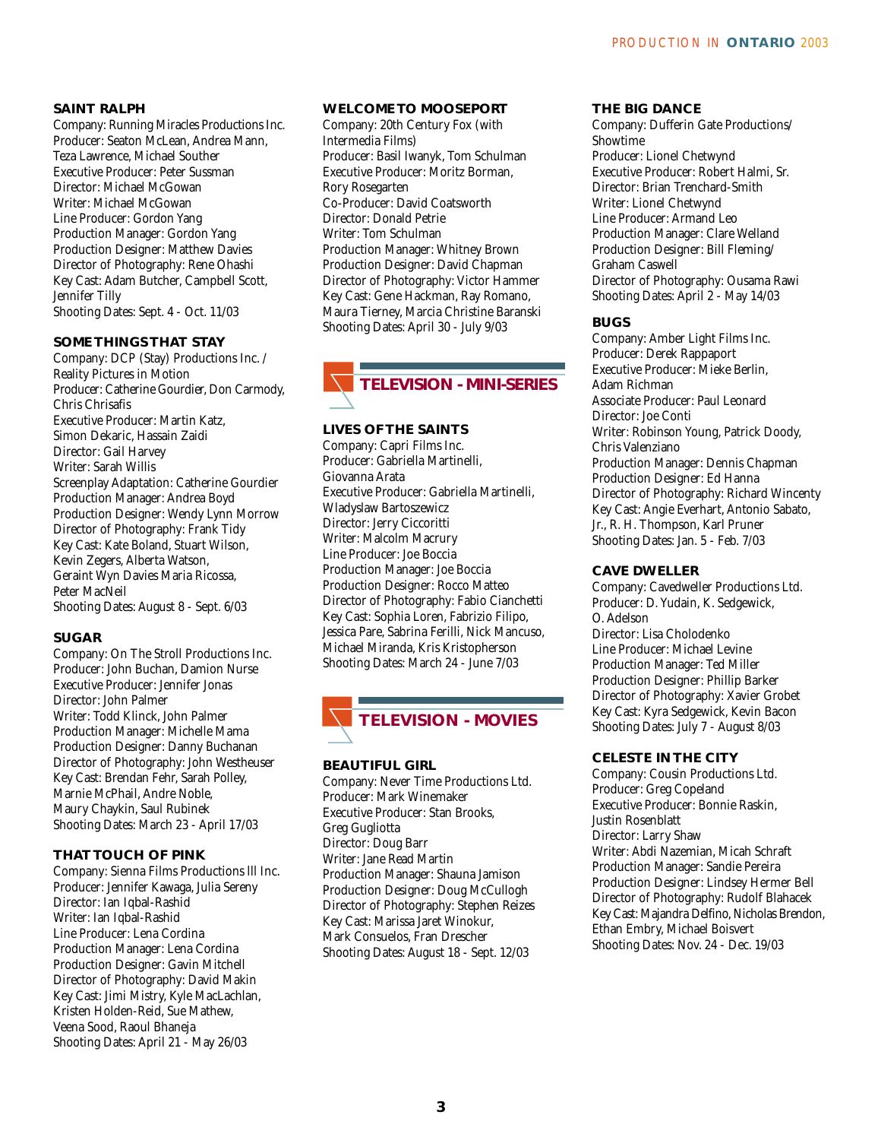#### **SAINT RALPH**

Company: Running Miracles Productions Inc. Producer: Seaton McLean, Andrea Mann, Teza Lawrence, Michael Souther Executive Producer: Peter Sussman Director: Michael McGowan Writer: Michael McGowan Line Producer: Gordon Yang Production Manager: Gordon Yang Production Designer: Matthew Davies Director of Photography: Rene Ohashi Key Cast: Adam Butcher, Campbell Scott, Jennifer Tilly Shooting Dates: Sept. 4 - Oct. 11/03

#### **SOME THINGS THAT STAY**

Company: DCP (Stay) Productions Inc. / Reality Pictures in Motion Producer: Catherine Gourdier, Don Carmody, Chris Chrisafis Executive Producer: Martin Katz, Simon Dekaric, Hassain Zaidi Director: Gail Harvey Writer: Sarah Willis Screenplay Adaptation: Catherine Gourdier Production Manager: Andrea Boyd Production Designer: Wendy Lynn Morrow Director of Photography: Frank Tidy Key Cast: Kate Boland, Stuart Wilson, Kevin Zegers, Alberta Watson, Geraint Wyn Davies Maria Ricossa, Peter MacNeil Shooting Dates: August 8 - Sept. 6/03

#### **SUGAR**

Company: On The Stroll Productions Inc. Producer: John Buchan, Damion Nurse Executive Producer: Jennifer Jonas Director: John Palmer Writer: Todd Klinck, John Palmer Production Manager: Michelle Mama Production Designer: Danny Buchanan Director of Photography: John Westheuser Key Cast: Brendan Fehr, Sarah Polley, Marnie McPhail, Andre Noble, Maury Chaykin, Saul Rubinek Shooting Dates: March 23 - April 17/03

#### **THAT TOUCH OF PINK**

Company: Sienna Films Productions lll Inc. Producer: Jennifer Kawaga, Julia Sereny Director: Ian Iqbal-Rashid Writer: Ian Iqbal-Rashid Line Producer: Lena Cordina Production Manager: Lena Cordina Production Designer: Gavin Mitchell Director of Photography: David Makin Key Cast: Jimi Mistry, Kyle MacLachlan, Kristen Holden-Reid, Sue Mathew, Veena Sood, Raoul Bhaneja Shooting Dates: April 21 - May 26/03

#### **WELCOME TO MOOSEPORT**

Company: 20th Century Fox (with Intermedia Films) Producer: Basil Iwanyk, Tom Schulman Executive Producer: Moritz Borman, Rory Rosegarten Co-Producer: David Coatsworth Director: Donald Petrie Writer: Tom Schulman Production Manager: Whitney Brown Production Designer: David Chapman Director of Photography: Victor Hammer Key Cast: Gene Hackman, Ray Romano, Maura Tierney, Marcia Christine Baranski Shooting Dates: April 30 - July 9/03



#### **LIVES OF THE SAINTS**

Company: Capri Films Inc. Producer: Gabriella Martinelli, Giovanna Arata Executive Producer: Gabriella Martinelli, Wladyslaw Bartoszewicz Director: Jerry Ciccoritti Writer: Malcolm Macrury Line Producer: Joe Boccia Production Manager: Joe Boccia Production Designer: Rocco Matteo Director of Photography: Fabio Cianchetti Key Cast: Sophia Loren, Fabrizio Filipo, Jessica Pare, Sabrina Ferilli, Nick Mancuso, Michael Miranda, Kris Kristopherson Shooting Dates: March 24 - June 7/03

### **TELEVISION - MOVIES**

#### **BEAUTIFUL GIRL**

Company: Never Time Productions Ltd. Producer: Mark Winemaker Executive Producer: Stan Brooks, Greg Gugliotta Director: Doug Barr Writer: Jane Read Martin Production Manager: Shauna Jamison Production Designer: Doug McCullogh Director of Photography: Stephen Reizes Key Cast: Marissa Jaret Winokur, Mark Consuelos, Fran Drescher Shooting Dates: August 18 - Sept. 12/03

#### **THE BIG DANCE**

Company: Dufferin Gate Productions/ Showtime Producer: Lionel Chetwynd Executive Producer: Robert Halmi, Sr. Director: Brian Trenchard-Smith Writer: Lionel Chetwynd Line Producer: Armand Leo Production Manager: Clare Welland Production Designer: Bill Fleming/ Graham Caswell Director of Photography: Ousama Rawi Shooting Dates: April 2 - May 14/03

#### **BUGS**

Company: Amber Light Films Inc. Producer: Derek Rappaport Executive Producer: Mieke Berlin, Adam Richman Associate Producer: Paul Leonard Director: Joe Conti Writer: Robinson Young, Patrick Doody, Chris Valenziano Production Manager: Dennis Chapman Production Designer: Ed Hanna Director of Photography: Richard Wincenty Key Cast: Angie Everhart, Antonio Sabato, Jr., R. H. Thompson, Karl Pruner Shooting Dates: Jan. 5 - Feb. 7/03

#### **CAVE DWELLER**

Company: Cavedweller Productions Ltd. Producer: D. Yudain, K. Sedgewick, O. Adelson Director: Lisa Cholodenko Line Producer: Michael Levine Production Manager: Ted Miller Production Designer: Phillip Barker Director of Photography: Xavier Grobet Key Cast: Kyra Sedgewick, Kevin Bacon Shooting Dates: July 7 - August 8/03

#### **CELESTE IN THE CITY**

Company: Cousin Productions Ltd. Producer: Greg Copeland Executive Producer: Bonnie Raskin, Justin Rosenblatt Director: Larry Shaw Writer: Abdi Nazemian, Micah Schraft Production Manager: Sandie Pereira Production Designer: Lindsey Hermer Bell Director of Photography: Rudolf Blahacek Key Cast: Majandra Delfino, Nicholas Brendon, Ethan Embry, Michael Boisvert Shooting Dates: Nov. 24 - Dec. 19/03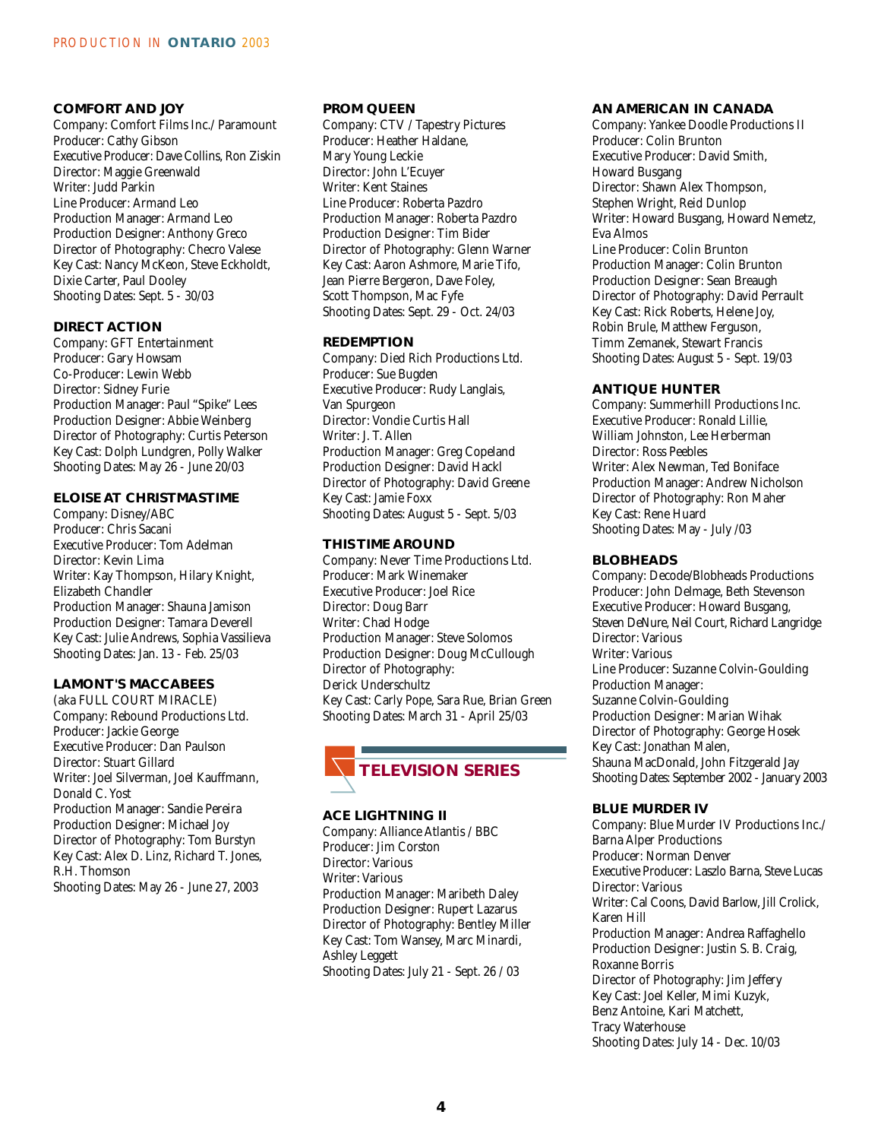#### **COMFORT AND JOY**

Company: Comfort Films Inc./ Paramount Producer: Cathy Gibson Executive Producer: Dave Collins, Ron Ziskin Director: Maggie Greenwald Writer: Judd Parkin Line Producer: Armand Leo Production Manager: Armand Leo Production Designer: Anthony Greco Director of Photography: Checro Valese Key Cast: Nancy McKeon, Steve Eckholdt, Dixie Carter, Paul Dooley Shooting Dates: Sept. 5 - 30/03

#### **DIRECT ACTION**

Company: GFT Entertainment Producer: Gary Howsam Co-Producer: Lewin Webb Director: Sidney Furie Production Manager: Paul "Spike" Lees Production Designer: Abbie Weinberg Director of Photography: Curtis Peterson Key Cast: Dolph Lundgren, Polly Walker Shooting Dates: May 26 - June 20/03

#### **ELOISE AT CHRISTMASTIME**

Company: Disney/ABC Producer: Chris Sacani Executive Producer: Tom Adelman Director: Kevin Lima Writer: Kay Thompson, Hilary Knight, Elizabeth Chandler Production Manager: Shauna Jamison Production Designer: Tamara Deverell Key Cast: Julie Andrews, Sophia Vassilieva Shooting Dates: Jan. 13 - Feb. 25/03

#### **LAMONT'S MACCABEES**

(aka FULL COURT MIRACLE) Company: Rebound Productions Ltd. Producer: Jackie George Executive Producer: Dan Paulson Director: Stuart Gillard Writer: Joel Silverman, Joel Kauffmann, Donald C. Yost Production Manager: Sandie Pereira Production Designer: Michael Joy Director of Photography: Tom Burstyn Key Cast: Alex D. Linz, Richard T. Jones, R.H. Thomson

Shooting Dates: May 26 - June 27, 2003

#### **PROM QUEEN**

Company: CTV / Tapestry Pictures Producer: Heather Haldane, Mary Young Leckie Director: John L'Ecuyer Writer: Kent Staines Line Producer: Roberta Pazdro Production Manager: Roberta Pazdro Production Designer: Tim Bider Director of Photography: Glenn Warner Key Cast: Aaron Ashmore, Marie Tifo, Jean Pierre Bergeron, Dave Foley, Scott Thompson, Mac Fyfe Shooting Dates: Sept. 29 - Oct. 24/03

#### **REDEMPTION**

Company: Died Rich Productions Ltd. Producer: Sue Bugden Executive Producer: Rudy Langlais, Van Spurgeon Director: Vondie Curtis Hall Writer: J. T. Allen Production Manager: Greg Copeland Production Designer: David Hackl Director of Photography: David Greene Key Cast: Jamie Foxx Shooting Dates: August 5 - Sept. 5/03

#### **THIS TIME AROUND**

Company: Never Time Productions Ltd. Producer: Mark Winemaker Executive Producer: Joel Rice Director: Doug Barr Writer: Chad Hodge Production Manager: Steve Solomos Production Designer: Doug McCullough Director of Photography: Derick Underschultz Key Cast: Carly Pope, Sara Rue, Brian Green Shooting Dates: March 31 - April 25/03



#### **ACE LIGHTNING II**

Company: Alliance Atlantis / BBC Producer: Jim Corston Director: Various Writer: Various Production Manager: Maribeth Daley Production Designer: Rupert Lazarus Director of Photography: Bentley Miller Key Cast: Tom Wansey, Marc Minardi, Ashley Leggett Shooting Dates: July 21 - Sept. 26 / 03

#### **AN AMERICAN IN CANADA**

Company: Yankee Doodle Productions II Producer: Colin Brunton Executive Producer: David Smith, Howard Busgang Director: Shawn Alex Thompson, Stephen Wright, Reid Dunlop Writer: Howard Busgang, Howard Nemetz, Eva Almos Line Producer: Colin Brunton Production Manager: Colin Brunton Production Designer: Sean Breaugh Director of Photography: David Perrault Key Cast: Rick Roberts, Helene Joy, Robin Brule, Matthew Ferguson, Timm Zemanek, Stewart Francis Shooting Dates: August 5 - Sept. 19/03

#### **ANTIQUE HUNTER**

Company: Summerhill Productions Inc. Executive Producer: Ronald Lillie, William Johnston, Lee Herberman Director: Ross Peebles Writer: Alex Newman, Ted Boniface Production Manager: Andrew Nicholson Director of Photography: Ron Maher Key Cast: Rene Huard Shooting Dates: May - July /03

#### **BLOBHEADS**

Company: Decode/Blobheads Productions Producer: John Delmage, Beth Stevenson Executive Producer: Howard Busgang, Steven DeNure, Neil Court, Richard Langridge Director: Various Writer: Various Line Producer: Suzanne Colvin-Goulding Production Manager: Suzanne Colvin-Goulding Production Designer: Marian Wihak Director of Photography: George Hosek Key Cast: Jonathan Malen, Shauna MacDonald, John Fitzgerald Jay Shooting Dates: September 2002 - January 2003

#### **BLUE MURDER IV**

Company: Blue Murder IV Productions Inc./ Barna Alper Productions Producer: Norman Denver Executive Producer: Laszlo Barna, Steve Lucas Director: Various Writer: Cal Coons, David Barlow, Jill Crolick, Karen Hill Production Manager: Andrea Raffaghello Production Designer: Justin S. B. Craig, Roxanne Borris Director of Photography: Jim Jeffery Key Cast: Joel Keller, Mimi Kuzyk, Benz Antoine, Kari Matchett, Tracy Waterhouse Shooting Dates: July 14 - Dec. 10/03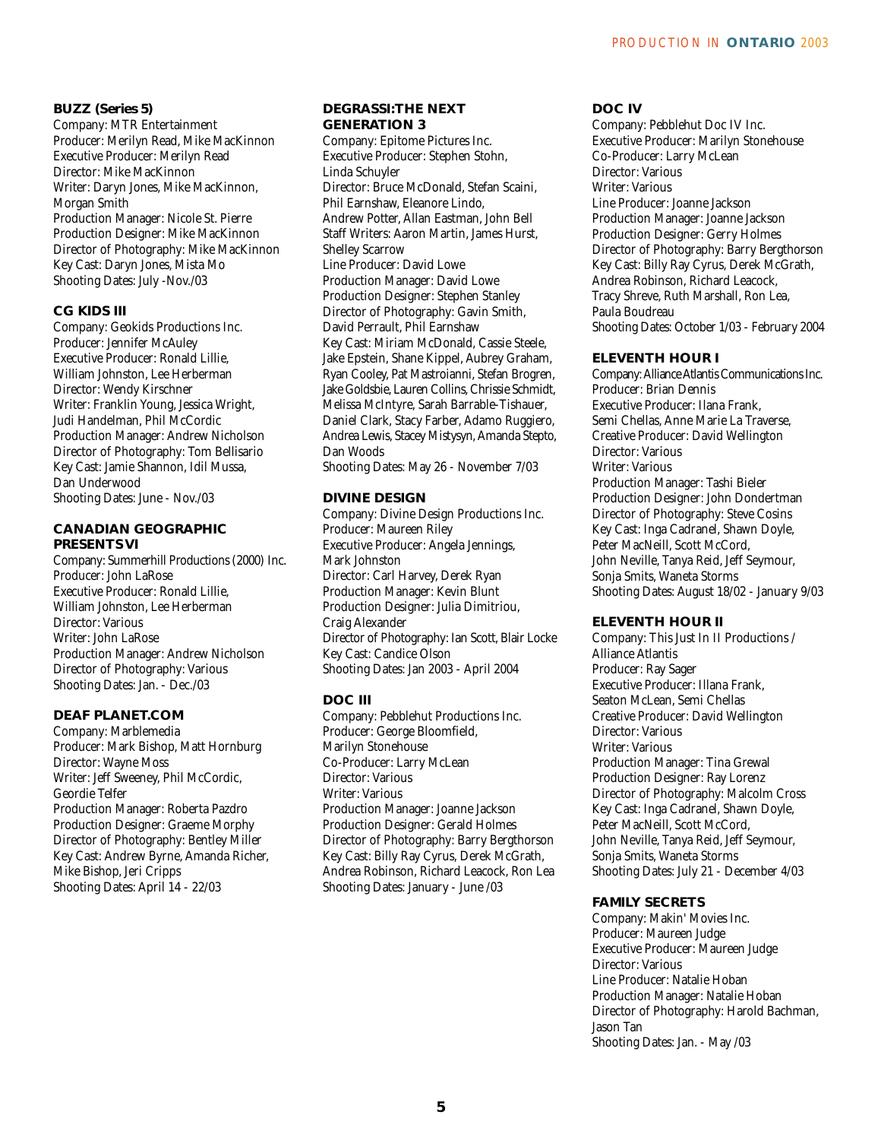#### **BUZZ (Series 5)**

Company: MTR Entertainment Producer: Merilyn Read, Mike MacKinnon Executive Producer: Merilyn Read Director: Mike MacKinnon Writer: Daryn Jones, Mike MacKinnon, Morgan Smith Production Manager: Nicole St. Pierre Production Designer: Mike MacKinnon Director of Photography: Mike MacKinnon Key Cast: Daryn Jones, Mista Mo Shooting Dates: July -Nov./03

#### **CG KIDS III**

Company: Geokids Productions Inc. Producer: Jennifer McAuley Executive Producer: Ronald Lillie, William Johnston, Lee Herberman Director: Wendy Kirschner Writer: Franklin Young, Jessica Wright, Judi Handelman, Phil McCordic Production Manager: Andrew Nicholson Director of Photography: Tom Bellisario Key Cast: Jamie Shannon, Idil Mussa, Dan Underwood Shooting Dates: June - Nov./03

#### **CANADIAN GEOGRAPHIC PRESENTS VI**

Company: Summerhill Productions (2000) Inc. Producer: John LaRose Executive Producer: Ronald Lillie, William Johnston, Lee Herberman Director: Various Writer: John LaRose Production Manager: Andrew Nicholson Director of Photography: Various Shooting Dates: Jan. - Dec./03

#### **DEAF PLANET.COM**

Company: Marblemedia Producer: Mark Bishop, Matt Hornburg Director: Wayne Moss Writer: Jeff Sweeney, Phil McCordic, Geordie Telfer Production Manager: Roberta Pazdro Production Designer: Graeme Morphy Director of Photography: Bentley Miller Key Cast: Andrew Byrne, Amanda Richer, Mike Bishop, Jeri Cripps Shooting Dates: April 14 - 22/03

#### **DEGRASSI:THE NEXT GENERATION 3**

Company: Epitome Pictures Inc. Executive Producer: Stephen Stohn, Linda Schuyler Director: Bruce McDonald, Stefan Scaini, Phil Earnshaw, Eleanore Lindo, Andrew Potter, Allan Eastman, John Bell Staff Writers: Aaron Martin, James Hurst, Shelley Scarrow Line Producer: David Lowe Production Manager: David Lowe Production Designer: Stephen Stanley Director of Photography: Gavin Smith, David Perrault, Phil Earnshaw Key Cast: Miriam McDonald, Cassie Steele, Jake Epstein, Shane Kippel, Aubrey Graham, Ryan Cooley, Pat Mastroianni, Stefan Brogren, Jake Goldsbie, Lauren Collins, Chrissie Schmidt, Melissa McIntyre, Sarah Barrable-Tishauer, Daniel Clark, Stacy Farber, Adamo Ruggiero, Andrea Lewis, Stacey Mistysyn, Amanda Stepto, Dan Woods

Shooting Dates: May 26 - November 7/03

#### **DIVINE DESIGN**

Company: Divine Design Productions Inc. Producer: Maureen Riley Executive Producer: Angela Jennings, Mark Johnston Director: Carl Harvey, Derek Ryan Production Manager: Kevin Blunt Production Designer: Julia Dimitriou, Craig Alexander Director of Photography: Ian Scott, Blair Locke Key Cast: Candice Olson Shooting Dates: Jan 2003 - April 2004

#### **DOC III**

Company: Pebblehut Productions Inc. Producer: George Bloomfield, Marilyn Stonehouse Co-Producer: Larry McLean Director: Various Writer: Various Production Manager: Joanne Jackson Production Designer: Gerald Holmes Director of Photography: Barry Bergthorson Key Cast: Billy Ray Cyrus, Derek McGrath, Andrea Robinson, Richard Leacock, Ron Lea Shooting Dates: January - June /03

#### **DOC IV**

Company: Pebblehut Doc IV Inc. Executive Producer: Marilyn Stonehouse Co-Producer: Larry McLean Director: Various Writer: Various Line Producer: Joanne Jackson Production Manager: Joanne Jackson Production Designer: Gerry Holmes Director of Photography: Barry Bergthorson Key Cast: Billy Ray Cyrus, Derek McGrath, Andrea Robinson, Richard Leacock, Tracy Shreve, Ruth Marshall, Ron Lea, Paula Boudreau Shooting Dates: October 1/03 - February 2004

#### **ELEVENTH HOUR I**

Company: Alliance Atlantis Communications Inc. Producer: Brian Dennis Executive Producer: Ilana Frank, Semi Chellas, Anne Marie La Traverse, Creative Producer: David Wellington Director: Various Writer: Various Production Manager: Tashi Bieler Production Designer: John Dondertman Director of Photography: Steve Cosins Key Cast: Inga Cadranel, Shawn Doyle, Peter MacNeill, Scott McCord, John Neville, Tanya Reid, Jeff Seymour, Sonja Smits, Waneta Storms Shooting Dates: August 18/02 - January 9/03

#### **ELEVENTH HOUR II**

Company: This Just In II Productions / Alliance Atlantis Producer: Ray Sager Executive Producer: Illana Frank, Seaton McLean, Semi Chellas Creative Producer: David Wellington Director: Various Writer: Various Production Manager: Tina Grewal Production Designer: Ray Lorenz Director of Photography: Malcolm Cross Key Cast: Inga Cadranel, Shawn Doyle, Peter MacNeill, Scott McCord, John Neville, Tanya Reid, Jeff Seymour, Sonja Smits, Waneta Storms Shooting Dates: July 21 - December 4/03

#### **FAMILY SECRETS**

Company: Makin' Movies Inc. Producer: Maureen Judge Executive Producer: Maureen Judge Director: Various Line Producer: Natalie Hoban Production Manager: Natalie Hoban Director of Photography: Harold Bachman, Jason Tan Shooting Dates: Jan. - May /03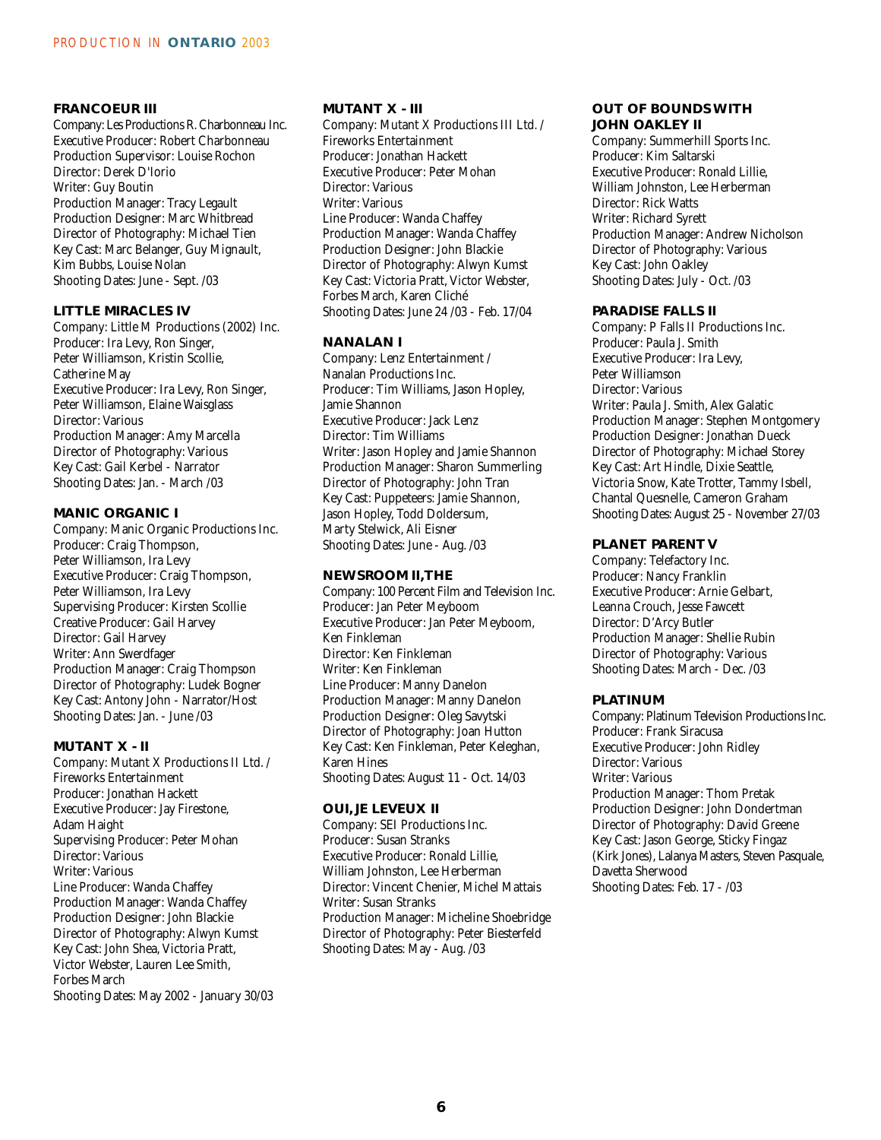#### **FRANCOEUR III**

Company: Les Productions R. Charbonneau Inc. Executive Producer: Robert Charbonneau Production Supervisor: Louise Rochon Director: Derek D'Iorio Writer: Guy Boutin Production Manager: Tracy Legault Production Designer: Marc Whitbread Director of Photography: Michael Tien Key Cast: Marc Belanger, Guy Mignault, Kim Bubbs, Louise Nolan Shooting Dates: June - Sept. /03

#### **LITTLE MIRACLES IV**

Company: Little M Productions (2002) Inc. Producer: Ira Levy, Ron Singer, Peter Williamson, Kristin Scollie, Catherine May Executive Producer: Ira Levy, Ron Singer, Peter Williamson, Elaine Waisglass Director: Various Production Manager: Amy Marcella Director of Photography: Various Key Cast: Gail Kerbel - Narrator Shooting Dates: Jan. - March /03

#### **MANIC ORGANIC I**

Company: Manic Organic Productions Inc. Producer: Craig Thompson, Peter Williamson, Ira Levy Executive Producer: Craig Thompson, Peter Williamson, Ira Levy Supervising Producer: Kirsten Scollie Creative Producer: Gail Harvey Director: Gail Harvey Writer: Ann Swerdfager Production Manager: Craig Thompson Director of Photography: Ludek Bogner Key Cast: Antony John - Narrator/Host Shooting Dates: Jan. - June /03

#### **MUTANT X - II**

Company: Mutant X Productions II Ltd. / Fireworks Entertainment Producer: Jonathan Hackett Executive Producer: Jay Firestone, Adam Haight Supervising Producer: Peter Mohan Director: Various Writer: Various Line Producer: Wanda Chaffey Production Manager: Wanda Chaffey Production Designer: John Blackie Director of Photography: Alwyn Kumst Key Cast: John Shea, Victoria Pratt, Victor Webster, Lauren Lee Smith, Forbes March Shooting Dates: May 2002 - January 30/03

#### **MUTANT X - III**

Company: Mutant X Productions III Ltd. / Fireworks Entertainment Producer: Jonathan Hackett Executive Producer: Peter Mohan Director: Various Writer: Various Line Producer: Wanda Chaffey Production Manager: Wanda Chaffey Production Designer: John Blackie Director of Photography: Alwyn Kumst Key Cast: Victoria Pratt, Victor Webster, Forbes March, Karen Cliché Shooting Dates: June 24 /03 - Feb. 17/04

#### **NANALAN I**

Company: Lenz Entertainment / Nanalan Productions Inc. Producer: Tim Williams, Jason Hopley, Jamie Shannon Executive Producer: Jack Lenz Director: Tim Williams Writer: Jason Hopley and Jamie Shannon Production Manager: Sharon Summerling Director of Photography: John Tran Key Cast: Puppeteers: Jamie Shannon, Jason Hopley, Todd Doldersum, Marty Stelwick, Ali Eisner Shooting Dates: June - Aug. /03

#### **NEWSROOM II,THE**

Company: 100 Percent Film and Television Inc. Producer: Jan Peter Meyboom Executive Producer: Jan Peter Meyboom, Ken Finkleman Director: Ken Finkleman Writer: Ken Finkleman Line Producer: Manny Danelon Production Manager: Manny Danelon Production Designer: Oleg Savytski Director of Photography: Joan Hutton Key Cast: Ken Finkleman, Peter Keleghan, Karen Hines Shooting Dates: August 11 - Oct. 14/03

#### **OUI, JE LEVEUX II**

Company: SEI Productions Inc. Producer: Susan Stranks Executive Producer: Ronald Lillie, William Johnston, Lee Herberman Director: Vincent Chenier, Michel Mattais Writer: Susan Stranks Production Manager: Micheline Shoebridge Director of Photography: Peter Biesterfeld Shooting Dates: May - Aug. /03

#### **OUT OF BOUNDS WITH JOHN OAKLEY II**

Company: Summerhill Sports Inc. Producer: Kim Saltarski Executive Producer: Ronald Lillie, William Johnston, Lee Herberman Director: Rick Watts Writer: Richard Syrett Production Manager: Andrew Nicholson Director of Photography: Various Key Cast: John Oakley Shooting Dates: July - Oct. /03

#### **PARADISE FALLS II**

Company: P Falls II Productions Inc. Producer: Paula J. Smith Executive Producer: Ira Levy, Peter Williamson Director: Various Writer: Paula J. Smith, Alex Galatic Production Manager: Stephen Montgomery Production Designer: Jonathan Dueck Director of Photography: Michael Storey Key Cast: Art Hindle, Dixie Seattle, Victoria Snow, Kate Trotter, Tammy Isbell, Chantal Quesnelle, Cameron Graham Shooting Dates: August 25 - November 27/03

#### **PLANET PARENT V**

Company: Telefactory Inc. Producer: Nancy Franklin Executive Producer: Arnie Gelbart, Leanna Crouch, Jesse Fawcett Director: D'Arcy Butler Production Manager: Shellie Rubin Director of Photography: Various Shooting Dates: March - Dec. /03

#### **PLATINUM**

Company: Platinum Television Productions Inc. Producer: Frank Siracusa Executive Producer: John Ridley Director: Various Writer: Various Production Manager: Thom Pretak Production Designer: John Dondertman Director of Photography: David Greene Key Cast: Jason George, Sticky Fingaz (Kirk Jones), Lalanya Masters, Steven Pasquale, Davetta Sherwood Shooting Dates: Feb. 17 - /03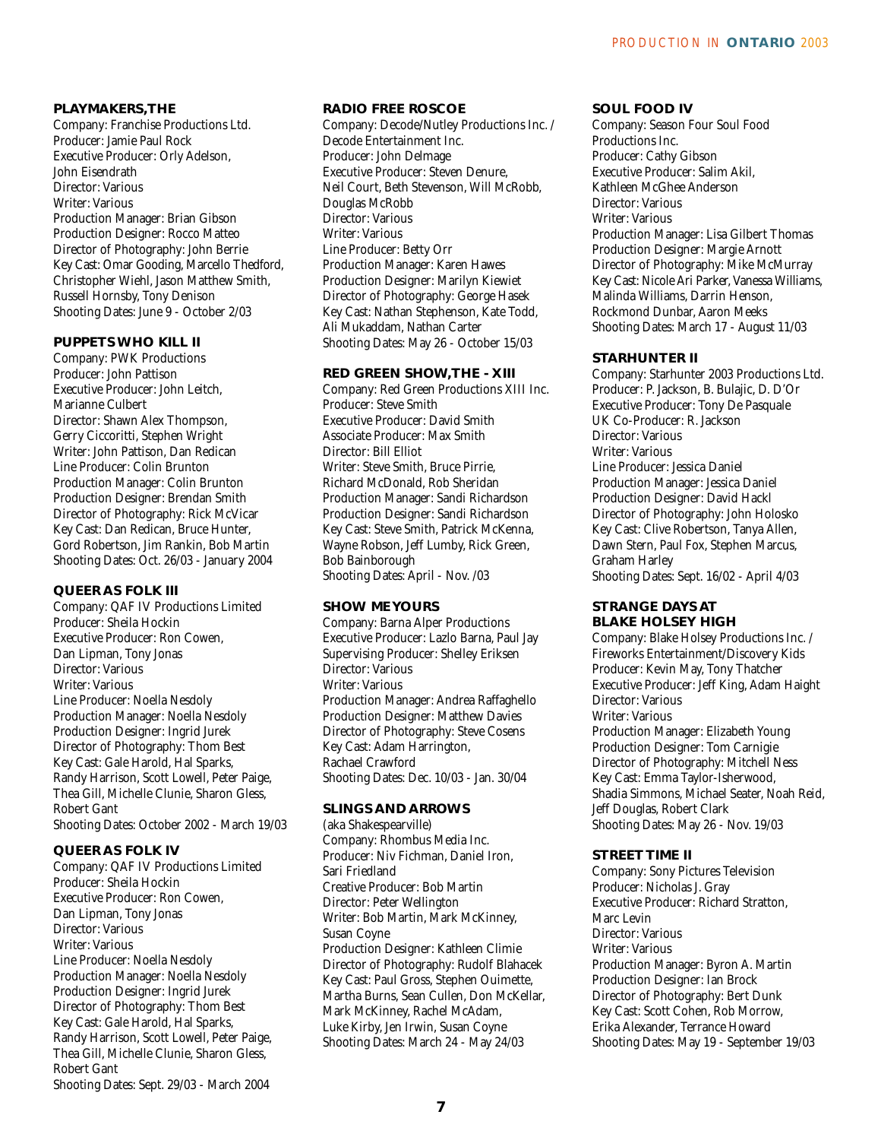#### **PLAYMAKERS,THE**

Company: Franchise Productions Ltd. Producer: Jamie Paul Rock Executive Producer: Orly Adelson, John Eisendrath Director: Various Writer: Various Production Manager: Brian Gibson Production Designer: Rocco Matteo Director of Photography: John Berrie Key Cast: Omar Gooding, Marcello Thedford, Christopher Wiehl, Jason Matthew Smith, Russell Hornsby, Tony Denison Shooting Dates: June 9 - October 2/03

#### **PUPPETS WHO KILL II**

Company: PWK Productions Producer: John Pattison Executive Producer: John Leitch, Marianne Culbert Director: Shawn Alex Thompson, Gerry Ciccoritti, Stephen Wright Writer: John Pattison, Dan Redican Line Producer: Colin Brunton Production Manager: Colin Brunton Production Designer: Brendan Smith Director of Photography: Rick McVicar Key Cast: Dan Redican, Bruce Hunter, Gord Robertson, Jim Rankin, Bob Martin Shooting Dates: Oct. 26/03 - January 2004

#### **QUEER AS FOLK III**

Company: QAF IV Productions Limited Producer: Sheila Hockin Executive Producer: Ron Cowen, Dan Lipman, Tony Jonas Director: Various Writer: Various Line Producer: Noella Nesdoly Production Manager: Noella Nesdoly Production Designer: Ingrid Jurek Director of Photography: Thom Best Key Cast: Gale Harold, Hal Sparks, Randy Harrison, Scott Lowell, Peter Paige, Thea Gill, Michelle Clunie, Sharon Gless, Robert Gant Shooting Dates: October 2002 - March 19/03

#### **QUEER AS FOLK IV**

Company: QAF IV Productions Limited Producer: Sheila Hockin Executive Producer: Ron Cowen, Dan Lipman, Tony Jonas Director: Various Writer: Various Line Producer: Noella Nesdoly Production Manager: Noella Nesdoly Production Designer: Ingrid Jurek Director of Photography: Thom Best Key Cast: Gale Harold, Hal Sparks, Randy Harrison, Scott Lowell, Peter Paige, Thea Gill, Michelle Clunie, Sharon Gless, Robert Gant Shooting Dates: Sept. 29/03 - March 2004

#### **RADIO FREE ROSCOE**

Company: Decode/Nutley Productions Inc. / Decode Entertainment Inc. Producer: John Delmage Executive Producer: Steven Denure, Neil Court, Beth Stevenson, Will McRobb, Douglas McRobb Director: Various Writer: Various Line Producer: Betty Orr Production Manager: Karen Hawes Production Designer: Marilyn Kiewiet Director of Photography: George Hasek Key Cast: Nathan Stephenson, Kate Todd, Ali Mukaddam, Nathan Carter Shooting Dates: May 26 - October 15/03

#### **RED GREEN SHOW,THE - XIII**

Company: Red Green Productions XIII Inc. Producer: Steve Smith Executive Producer: David Smith Associate Producer: Max Smith Director: Bill Elliot Writer: Steve Smith, Bruce Pirrie, Richard McDonald, Rob Sheridan Production Manager: Sandi Richardson Production Designer: Sandi Richardson Key Cast: Steve Smith, Patrick McKenna, Wayne Robson, Jeff Lumby, Rick Green, Bob Bainborough Shooting Dates: April - Nov. /03

#### **SHOW ME YOURS**

Company: Barna Alper Productions Executive Producer: Lazlo Barna, Paul Jay Supervising Producer: Shelley Eriksen Director: Various Writer: Various Production Manager: Andrea Raffaghello Production Designer: Matthew Davies Director of Photography: Steve Cosens Key Cast: Adam Harrington, Rachael Crawford Shooting Dates: Dec. 10/03 - Jan. 30/04

#### **SLINGS AND ARROWS**

(aka Shakespearville) Company: Rhombus Media Inc. Producer: Niv Fichman, Daniel Iron, Sari Friedland Creative Producer: Bob Martin Director: Peter Wellington Writer: Bob Martin, Mark McKinney, Susan Coyne Production Designer: Kathleen Climie Director of Photography: Rudolf Blahacek Key Cast: Paul Gross, Stephen Ouimette, Martha Burns, Sean Cullen, Don McKellar, Mark McKinney, Rachel McAdam, Luke Kirby, Jen Irwin, Susan Coyne Shooting Dates: March 24 - May 24/03

#### **SOUL FOOD IV**

Company: Season Four Soul Food Productions Inc. Producer: Cathy Gibson Executive Producer: Salim Akil, Kathleen McGhee Anderson Director: Various Writer: Various Production Manager: Lisa Gilbert Thomas Production Designer: Margie Arnott Director of Photography: Mike McMurray Key Cast: Nicole Ari Parker, Vanessa Williams, Malinda Williams, Darrin Henson, Rockmond Dunbar, Aaron Meeks Shooting Dates: March 17 - August 11/03

#### **STARHUNTER II**

Company: Starhunter 2003 Productions Ltd. Producer: P. Jackson, B. Bulajic, D. D'Or Executive Producer: Tony De Pasquale UK Co-Producer: R. Jackson Director: Various Writer: Various Line Producer: Jessica Daniel Production Manager: Jessica Daniel Production Designer: David Hackl Director of Photography: John Holosko Key Cast: Clive Robertson, Tanya Allen, Dawn Stern, Paul Fox, Stephen Marcus, Graham Harley Shooting Dates: Sept. 16/02 - April 4/03

#### **STRANGE DAYS AT BLAKE HOLSEY HIGH**

Company: Blake Holsey Productions Inc. / Fireworks Entertainment/Discovery Kids Producer: Kevin May, Tony Thatcher Executive Producer: Jeff King, Adam Haight Director: Various Writer: Various Production Manager: Elizabeth Young Production Designer: Tom Carnigie Director of Photography: Mitchell Ness Key Cast: Emma Taylor-Isherwood, Shadia Simmons, Michael Seater, Noah Reid, Jeff Douglas, Robert Clark Shooting Dates: May 26 - Nov. 19/03

#### **STREET TIME II**

Company: Sony Pictures Television Producer: Nicholas J. Gray Executive Producer: Richard Stratton, Marc Levin Director: Various Writer: Various Production Manager: Byron A. Martin Production Designer: Ian Brock Director of Photography: Bert Dunk Key Cast: Scott Cohen, Rob Morrow, Erika Alexander, Terrance Howard Shooting Dates: May 19 - September 19/03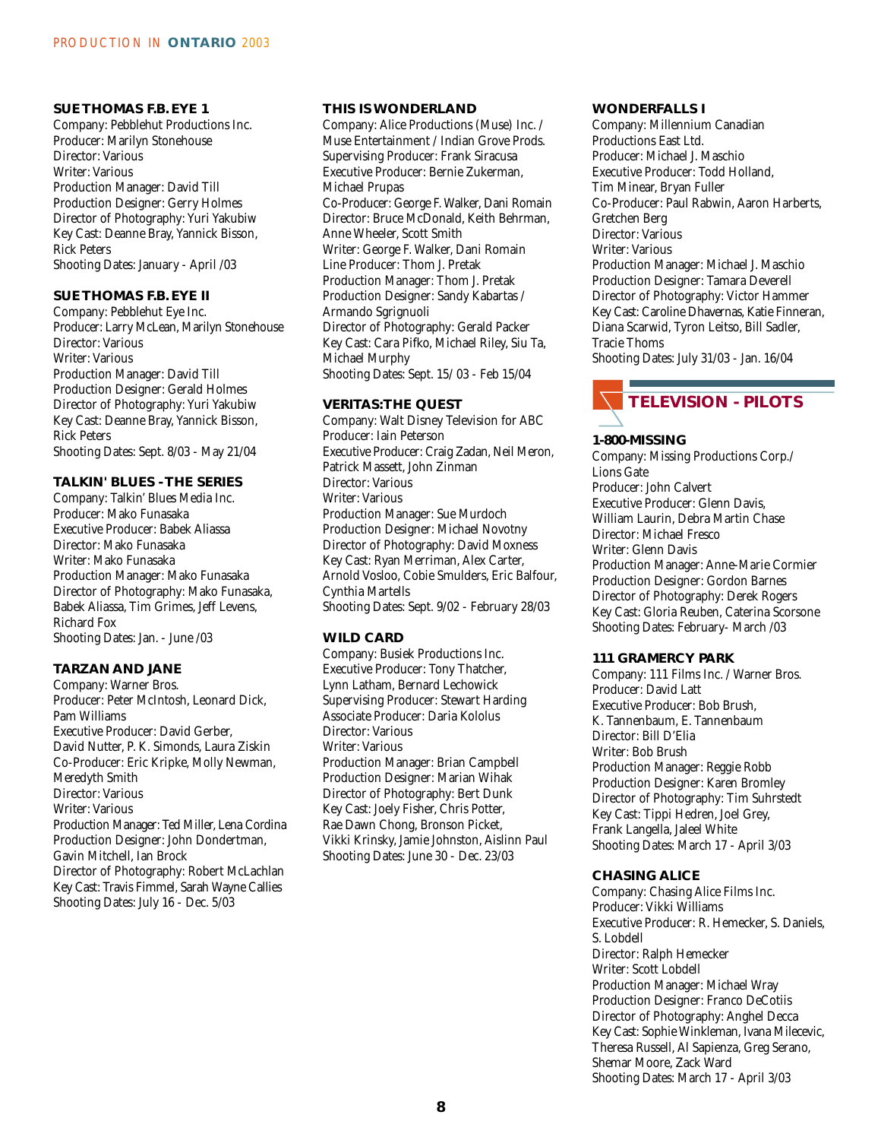#### **SUE THOMAS F.B. EYE 1**

Company: Pebblehut Productions Inc. Producer: Marilyn Stonehouse Director: Various Writer: Various Production Manager: David Till Production Designer: Gerry Holmes Director of Photography: Yuri Yakubiw Key Cast: Deanne Bray, Yannick Bisson, Rick Peters Shooting Dates: January - April /03

#### **SUE THOMAS F.B. EYE II**

Company: Pebblehut Eye Inc. Producer: Larry McLean, Marilyn Stonehouse Director: Various Writer: Various Production Manager: David Till Production Designer: Gerald Holmes Director of Photography: Yuri Yakubiw Key Cast: Deanne Bray, Yannick Bisson, Rick Peters Shooting Dates: Sept. 8/03 - May 21/04

#### **TALKIN' BLUES - THE SERIES**

Company: Talkin' Blues Media Inc. Producer: Mako Funasaka Executive Producer: Babek Aliassa Director: Mako Funasaka Writer: Mako Funasaka Production Manager: Mako Funasaka Director of Photography: Mako Funasaka, Babek Aliassa, Tim Grimes, Jeff Levens, Richard Fox Shooting Dates: Jan. - June /03

#### **TARZAN AND JANE**

Company: Warner Bros. Producer: Peter McIntosh, Leonard Dick, Pam Williams Executive Producer: David Gerber, David Nutter, P. K. Simonds, Laura Ziskin Co-Producer: Eric Kripke, Molly Newman, Meredyth Smith Director: Various Writer: Various Production Manager: Ted Miller, Lena Cordina Production Designer: John Dondertman, Gavin Mitchell, Ian Brock Director of Photography: Robert McLachlan Key Cast: Travis Fimmel, Sarah Wayne Callies Shooting Dates: July 16 - Dec. 5/03

#### **THIS IS WONDERLAND**

Company: Alice Productions (Muse) Inc. / Muse Entertainment / Indian Grove Prods. Supervising Producer: Frank Siracusa Executive Producer: Bernie Zukerman, Michael Prupas Co-Producer: George F. Walker, Dani Romain Director: Bruce McDonald, Keith Behrman, Anne Wheeler, Scott Smith Writer: George F. Walker, Dani Romain Line Producer: Thom J. Pretak Production Manager: Thom J. Pretak Production Designer: Sandy Kabartas / Armando Sgrignuoli Director of Photography: Gerald Packer Key Cast: Cara Pifko, Michael Riley, Siu Ta, Michael Murphy Shooting Dates: Sept. 15/ 03 - Feb 15/04

#### **VERITAS:THE QUEST**

Company: Walt Disney Television for ABC Producer: Iain Peterson Executive Producer: Craig Zadan, Neil Meron, Patrick Massett, John Zinman Director: Various Writer: Various Production Manager: Sue Murdoch Production Designer: Michael Novotny Director of Photography: David Moxness Key Cast: Ryan Merriman, Alex Carter, Arnold Vosloo, Cobie Smulders, Eric Balfour, Cynthia Martells Shooting Dates: Sept. 9/02 - February 28/03

#### **WILD CARD**

Company: Busiek Productions Inc. Executive Producer: Tony Thatcher, Lynn Latham, Bernard Lechowick Supervising Producer: Stewart Harding Associate Producer: Daria Kololus Director: Various Writer: Various Production Manager: Brian Campbell Production Designer: Marian Wihak Director of Photography: Bert Dunk Key Cast: Joely Fisher, Chris Potter, Rae Dawn Chong, Bronson Picket, Vikki Krinsky, Jamie Johnston, Aislinn Paul Shooting Dates: June 30 - Dec. 23/03

#### **WONDERFALLS I**

Company: Millennium Canadian Productions East Ltd. Producer: Michael J. Maschio Executive Producer: Todd Holland, Tim Minear, Bryan Fuller Co-Producer: Paul Rabwin, Aaron Harberts, Gretchen Berg Director: Various Writer: Various Production Manager: Michael J. Maschio Production Designer: Tamara Deverell Director of Photography: Victor Hammer Key Cast: Caroline Dhavernas, Katie Finneran, Diana Scarwid, Tyron Leitso, Bill Sadler, Tracie Thoms Shooting Dates: July 31/03 - Jan. 16/04



#### **1-800-MISSING**

Company: Missing Productions Corp./ Lions Gate Producer: John Calvert Executive Producer: Glenn Davis, William Laurin, Debra Martin Chase Director: Michael Fresco Writer: Glenn Davis Production Manager: Anne-Marie Cormier Production Designer: Gordon Barnes Director of Photography: Derek Rogers Key Cast: Gloria Reuben, Caterina Scorsone Shooting Dates: February- March /03

#### **111 GRAMERCY PARK**

Company: 111 Films Inc. / Warner Bros. Producer: David Latt Executive Producer: Bob Brush, K. Tannenbaum, E. Tannenbaum Director: Bill D'Elia Writer: Bob Brush Production Manager: Reggie Robb Production Designer: Karen Bromley Director of Photography: Tim Suhrstedt Key Cast: Tippi Hedren, Joel Grey, Frank Langella, Jaleel White Shooting Dates: March 17 - April 3/03

#### **CHASING ALICE**

Company: Chasing Alice Films Inc. Producer: Vikki Williams Executive Producer: R. Hemecker, S. Daniels, S. Lobdell Director: Ralph Hemecker Writer: Scott Lobdell Production Manager: Michael Wray Production Designer: Franco DeCotiis Director of Photography: Anghel Decca Key Cast: Sophie Winkleman, Ivana Milecevic, Theresa Russell, Al Sapienza, Greg Serano, Shemar Moore, Zack Ward Shooting Dates: March 17 - April 3/03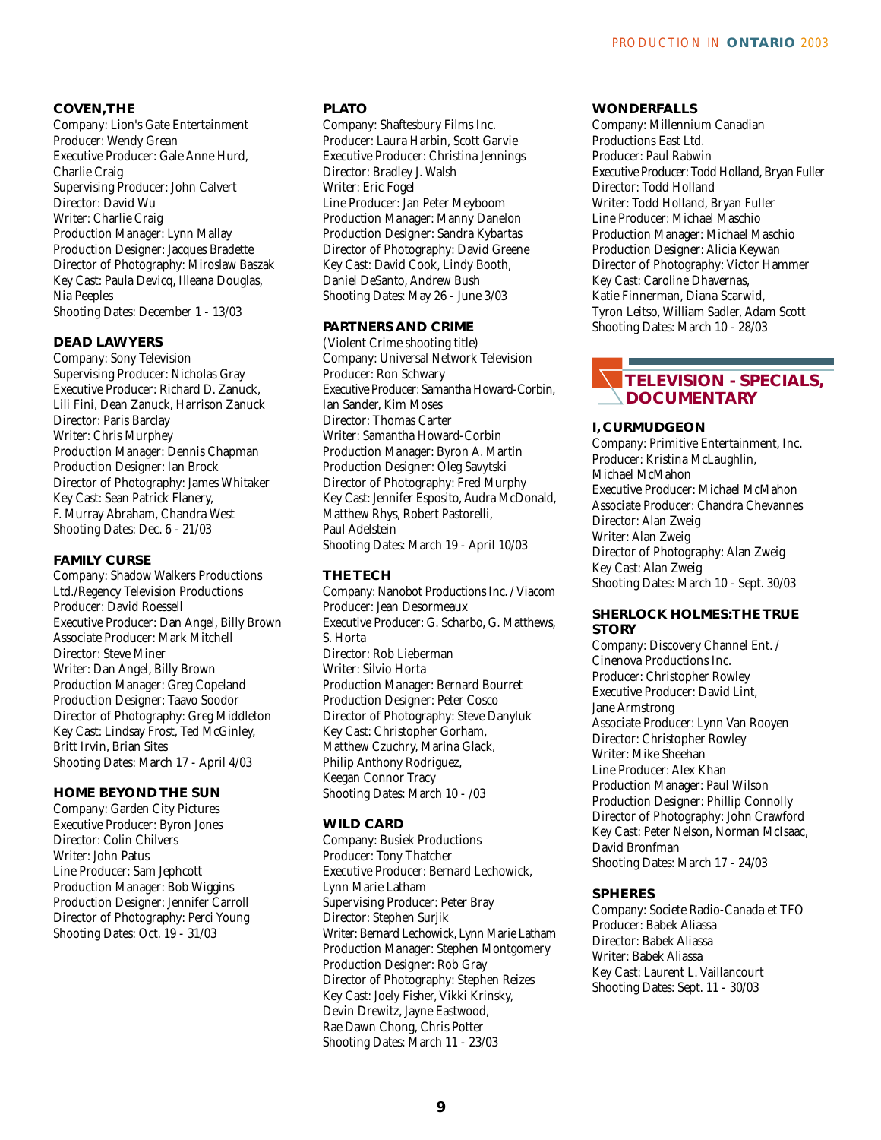#### **COVEN,THE**

Company: Lion's Gate Entertainment Producer: Wendy Grean Executive Producer: Gale Anne Hurd, Charlie Craig Supervising Producer: John Calvert Director: David Wu Writer: Charlie Craig Production Manager: Lynn Mallay Production Designer: Jacques Bradette Director of Photography: Miroslaw Baszak Key Cast: Paula Devicq, Illeana Douglas, Nia Peeples Shooting Dates: December 1 - 13/03

#### **DEAD LAWYERS**

Company: Sony Television Supervising Producer: Nicholas Gray Executive Producer: Richard D. Zanuck, Lili Fini, Dean Zanuck, Harrison Zanuck Director: Paris Barclay Writer: Chris Murphey Production Manager: Dennis Chapman Production Designer: Ian Brock Director of Photography: James Whitaker Key Cast: Sean Patrick Flanery, F. Murray Abraham, Chandra West Shooting Dates: Dec. 6 - 21/03

#### **FAMILY CURSE**

Company: Shadow Walkers Productions Ltd./Regency Television Productions Producer: David Roessell Executive Producer: Dan Angel, Billy Brown Associate Producer: Mark Mitchell Director: Steve Miner Writer: Dan Angel, Billy Brown Production Manager: Greg Copeland Production Designer: Taavo Soodor Director of Photography: Greg Middleton Key Cast: Lindsay Frost, Ted McGinley, Britt Irvin, Brian Sites Shooting Dates: March 17 - April 4/03

#### **HOME BEYOND THE SUN**

Company: Garden City Pictures Executive Producer: Byron Jones Director: Colin Chilvers Writer: John Patus Line Producer: Sam Jephcott Production Manager: Bob Wiggins Production Designer: Jennifer Carroll Director of Photography: Perci Young Shooting Dates: Oct. 19 - 31/03

#### **PLATO**

Company: Shaftesbury Films Inc. Producer: Laura Harbin, Scott Garvie Executive Producer: Christina Jennings Director: Bradley J. Walsh Writer: Eric Fogel Line Producer: Jan Peter Meyboom Production Manager: Manny Danelon Production Designer: Sandra Kybartas Director of Photography: David Greene Key Cast: David Cook, Lindy Booth, Daniel DeSanto, Andrew Bush Shooting Dates: May 26 - June 3/03

#### **PARTNERS AND CRIME**

(Violent Crime shooting title) Company: Universal Network Television Producer: Ron Schwary Executive Producer: Samantha Howard-Corbin, Ian Sander, Kim Moses Director: Thomas Carter Writer: Samantha Howard-Corbin Production Manager: Byron A. Martin Production Designer: Oleg Savytski Director of Photography: Fred Murphy Key Cast: Jennifer Esposito, Audra McDonald, Matthew Rhys, Robert Pastorelli, Paul Adelstein Shooting Dates: March 19 - April 10/03

#### **THE TECH**

Company: Nanobot Productions Inc. / Viacom Producer: Jean Desormeaux Executive Producer: G. Scharbo, G. Matthews, S. Horta Director: Rob Lieberman Writer: Silvio Horta Production Manager: Bernard Bourret Production Designer: Peter Cosco Director of Photography: Steve Danyluk Key Cast: Christopher Gorham, Matthew Czuchry, Marina Glack, Philip Anthony Rodriguez, Keegan Connor Tracy Shooting Dates: March 10 - /03

#### **WILD CARD**

Company: Busiek Productions Producer: Tony Thatcher Executive Producer: Bernard Lechowick, Lynn Marie Latham Supervising Producer: Peter Bray Director: Stephen Surjik Writer: Bernard Lechowick, Lynn Marie Latham Production Manager: Stephen Montgomery Production Designer: Rob Gray Director of Photography: Stephen Reizes Key Cast: Joely Fisher, Vikki Krinsky, Devin Drewitz, Jayne Eastwood, Rae Dawn Chong, Chris Potter Shooting Dates: March 11 - 23/03

#### **WONDERFALLS**

Company: Millennium Canadian Productions East Ltd. Producer: Paul Rabwin Executive Producer: Todd Holland, Bryan Fuller Director: Todd Holland Writer: Todd Holland, Bryan Fuller Line Producer: Michael Maschio Production Manager: Michael Maschio Production Designer: Alicia Keywan Director of Photography: Victor Hammer Key Cast: Caroline Dhavernas, Katie Finnerman, Diana Scarwid, Tyron Leitso, William Sadler, Adam Scott Shooting Dates: March 10 - 28/03

#### **TELEVISION - SPECIALS, DOCUMENTARY**

#### **I, CURMUDGEON**

Company: Primitive Entertainment, Inc. Producer: Kristina McLaughlin, Michael McMahon Executive Producer: Michael McMahon Associate Producer: Chandra Chevannes Director: Alan Zweig Writer: Alan Zweig Director of Photography: Alan Zweig Key Cast: Alan Zweig Shooting Dates: March 10 - Sept. 30/03

#### **SHERLOCK HOLMES:THE TRUE STORY**

Company: Discovery Channel Ent. / Cinenova Productions Inc. Producer: Christopher Rowley Executive Producer: David Lint, Jane Armstrong Associate Producer: Lynn Van Rooyen Director: Christopher Rowley Writer: Mike Sheehan Line Producer: Alex Khan Production Manager: Paul Wilson Production Designer: Phillip Connolly Director of Photography: John Crawford Key Cast: Peter Nelson, Norman McIsaac, David Bronfman Shooting Dates: March 17 - 24/03

#### **SPHERES**

Company: Societe Radio-Canada et TFO Producer: Babek Aliassa Director: Babek Aliassa Writer: Babek Aliassa Key Cast: Laurent L. Vaillancourt Shooting Dates: Sept. 11 - 30/03